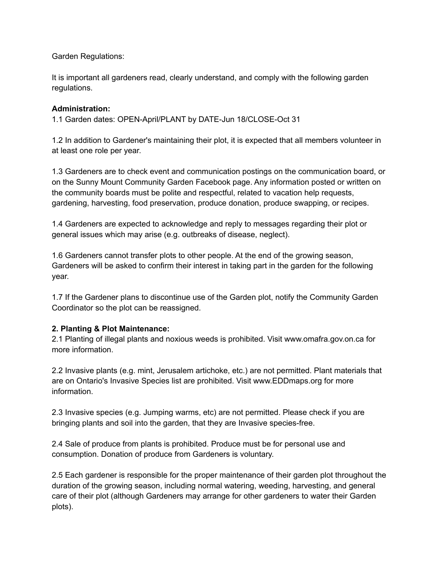Garden Regulations:

It is important all gardeners read, clearly understand, and comply with the following garden regulations.

## **Administration:**

1.1 Garden dates: OPEN-April/PLANT by DATE-Jun 18/CLOSE-Oct 31

1.2 In addition to Gardener's maintaining their plot, it is expected that all members volunteer in at least one role per year.

1.3 Gardeners are to check event and communication postings on the communication board, or on the Sunny Mount Community Garden Facebook page. Any information posted or written on the community boards must be polite and respectful, related to vacation help requests, gardening, harvesting, food preservation, produce donation, produce swapping, or recipes.

1.4 Gardeners are expected to acknowledge and reply to messages regarding their plot or general issues which may arise (e.g. outbreaks of disease, neglect).

1.6 Gardeners cannot transfer plots to other people. At the end of the growing season, Gardeners will be asked to confirm their interest in taking part in the garden for the following year.

1.7 If the Gardener plans to discontinue use of the Garden plot, notify the Community Garden Coordinator so the plot can be reassigned.

# **2. Planting & Plot Maintenance:**

2.1 Planting of illegal plants and noxious weeds is prohibited. Visit www.omafra.gov.on.ca for more information.

2.2 Invasive plants (e.g. mint, Jerusalem artichoke, etc.) are not permitted. Plant materials that are on Ontario's Invasive Species list are prohibited. Visit www.EDDmaps.org for more information.

2.3 Invasive species (e.g. Jumping warms, etc) are not permitted. Please check if you are bringing plants and soil into the garden, that they are Invasive species-free.

2.4 Sale of produce from plants is prohibited. Produce must be for personal use and consumption. Donation of produce from Gardeners is voluntary.

2.5 Each gardener is responsible for the proper maintenance of their garden plot throughout the duration of the growing season, including normal watering, weeding, harvesting, and general care of their plot (although Gardeners may arrange for other gardeners to water their Garden plots).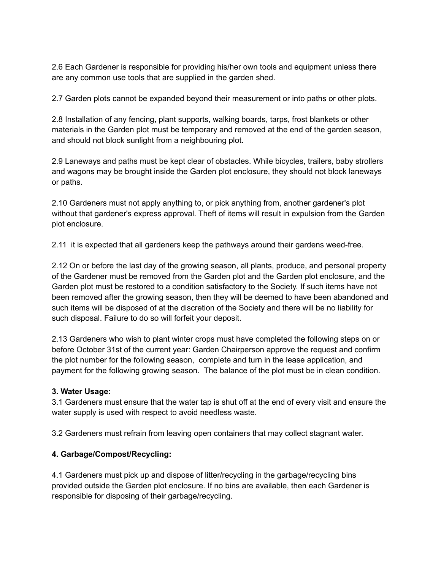2.6 Each Gardener is responsible for providing his/her own tools and equipment unless there are any common use tools that are supplied in the garden shed.

2.7 Garden plots cannot be expanded beyond their measurement or into paths or other plots.

2.8 Installation of any fencing, plant supports, walking boards, tarps, frost blankets or other materials in the Garden plot must be temporary and removed at the end of the garden season, and should not block sunlight from a neighbouring plot.

2.9 Laneways and paths must be kept clear of obstacles. While bicycles, trailers, baby strollers and wagons may be brought inside the Garden plot enclosure, they should not block laneways or paths.

2.10 Gardeners must not apply anything to, or pick anything from, another gardener's plot without that gardener's express approval. Theft of items will result in expulsion from the Garden plot enclosure.

2.11 it is expected that all gardeners keep the pathways around their gardens weed-free.

2.12 On or before the last day of the growing season, all plants, produce, and personal property of the Gardener must be removed from the Garden plot and the Garden plot enclosure, and the Garden plot must be restored to a condition satisfactory to the Society. If such items have not been removed after the growing season, then they will be deemed to have been abandoned and such items will be disposed of at the discretion of the Society and there will be no liability for such disposal. Failure to do so will forfeit your deposit.

2.13 Gardeners who wish to plant winter crops must have completed the following steps on or before October 31st of the current year: Garden Chairperson approve the request and confirm the plot number for the following season, complete and turn in the lease application, and payment for the following growing season. The balance of the plot must be in clean condition.

# **3. Water Usage:**

3.1 Gardeners must ensure that the water tap is shut off at the end of every visit and ensure the water supply is used with respect to avoid needless waste.

3.2 Gardeners must refrain from leaving open containers that may collect stagnant water.

# **4. Garbage/Compost/Recycling:**

4.1 Gardeners must pick up and dispose of litter/recycling in the garbage/recycling bins provided outside the Garden plot enclosure. If no bins are available, then each Gardener is responsible for disposing of their garbage/recycling.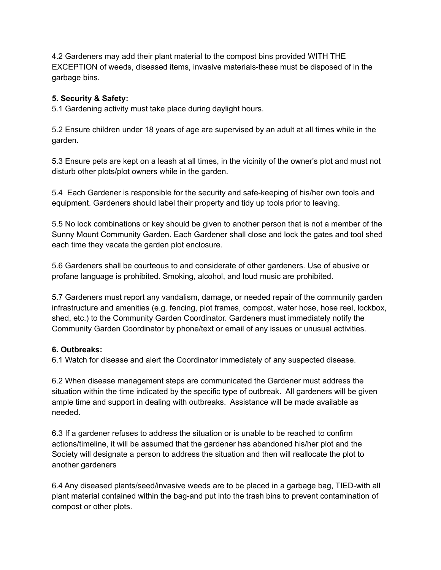4.2 Gardeners may add their plant material to the compost bins provided WITH THE EXCEPTION of weeds, diseased items, invasive materials-these must be disposed of in the garbage bins.

## **5. Security & Safety:**

5.1 Gardening activity must take place during daylight hours.

5.2 Ensure children under 18 years of age are supervised by an adult at all times while in the garden.

5.3 Ensure pets are kept on a leash at all times, in the vicinity of the owner's plot and must not disturb other plots/plot owners while in the garden.

5.4 Each Gardener is responsible for the security and safe-keeping of his/her own tools and equipment. Gardeners should label their property and tidy up tools prior to leaving.

5.5 No lock combinations or key should be given to another person that is not a member of the Sunny Mount Community Garden. Each Gardener shall close and lock the gates and tool shed each time they vacate the garden plot enclosure.

5.6 Gardeners shall be courteous to and considerate of other gardeners. Use of abusive or profane language is prohibited. Smoking, alcohol, and loud music are prohibited.

5.7 Gardeners must report any vandalism, damage, or needed repair of the community garden infrastructure and amenities (e.g. fencing, plot frames, compost, water hose, hose reel, lockbox, shed, etc.) to the Community Garden Coordinator. Gardeners must immediately notify the Community Garden Coordinator by phone/text or email of any issues or unusual activities.

### **6. Outbreaks:**

6.1 Watch for disease and alert the Coordinator immediately of any suspected disease.

6.2 When disease management steps are communicated the Gardener must address the situation within the time indicated by the specific type of outbreak. All gardeners will be given ample time and support in dealing with outbreaks. Assistance will be made available as needed.

6.3 If a gardener refuses to address the situation or is unable to be reached to confirm actions/timeline, it will be assumed that the gardener has abandoned his/her plot and the Society will designate a person to address the situation and then will reallocate the plot to another gardeners

6.4 Any diseased plants/seed/invasive weeds are to be placed in a garbage bag, TIED-with all plant material contained within the bag-and put into the trash bins to prevent contamination of compost or other plots.